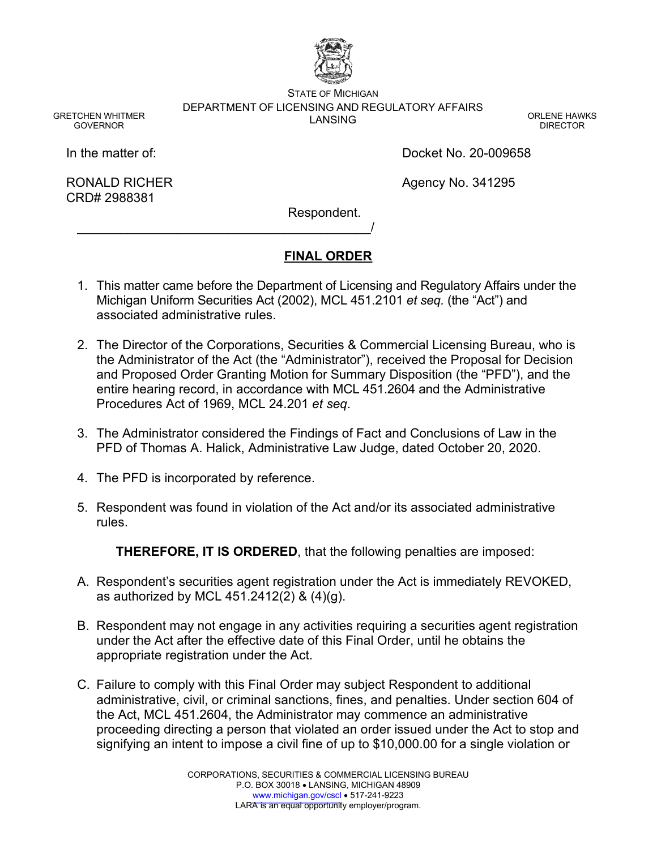

STATE OF MICHIGAN DEPARTMENT OF LICENSING AND REGULATORY AFFAIRS LANSING CONTROL IN THE CONTROL ORLENE HAWKS

GRETCHEN WHITMER GOVERNOR

DIRECTOR

In the matter of:

RONALD RICHER CRD# 2988381

Docket No. 20-009658

Agency No. 341295

Respondent.

# **FINAL ORDER**

- 1. This matter came before the Department of Licensing and Regulatory Affairs under the Michigan Uniform Securities Act (2002), MCL 451.2101 *et seq.* (the "Act") and associated administrative rules.
- 2. The Director of the Corporations, Securities & Commercial Licensing Bureau, who is the Administrator of the Act (the "Administrator"), received the Proposal for Decision and Proposed Order Granting Motion for Summary Disposition (the "PFD"), and the entire hearing record, in accordance with MCL 451.2604 and the Administrative Procedures Act of 1969, MCL 24.201 *et seq*.
- 3. The Administrator considered the Findings of Fact and Conclusions of Law in the PFD of Thomas A. Halick, Administrative Law Judge, dated October 20, 2020.
- 4. The PFD is incorporated by reference.

\_\_\_\_\_\_\_\_\_\_\_\_\_\_\_\_\_\_\_\_\_\_\_\_\_\_\_\_\_\_\_\_\_\_\_\_\_\_\_\_\_/

5. Respondent was found in violation of the Act and/or its associated administrative rules.

**THEREFORE, IT IS ORDERED**, that the following penalties are imposed:

- A. Respondent's securities agent registration under the Act is immediately REVOKED, as authorized by MCL 451.2412(2) & (4)(g).
- B. Respondent may not engage in any activities requiring a securities agent registration under the Act after the effective date of this Final Order, until he obtains the appropriate registration under the Act.
- C. Failure to comply with this Final Order may subject Respondent to additional administrative, civil, or criminal sanctions, fines, and penalties. Under section 604 of the Act, MCL 451.2604, the Administrator may commence an administrative proceeding directing a person that violated an order issued under the Act to stop and signifying an intent to impose a civil fine of up to \$10,000.00 for a single violation or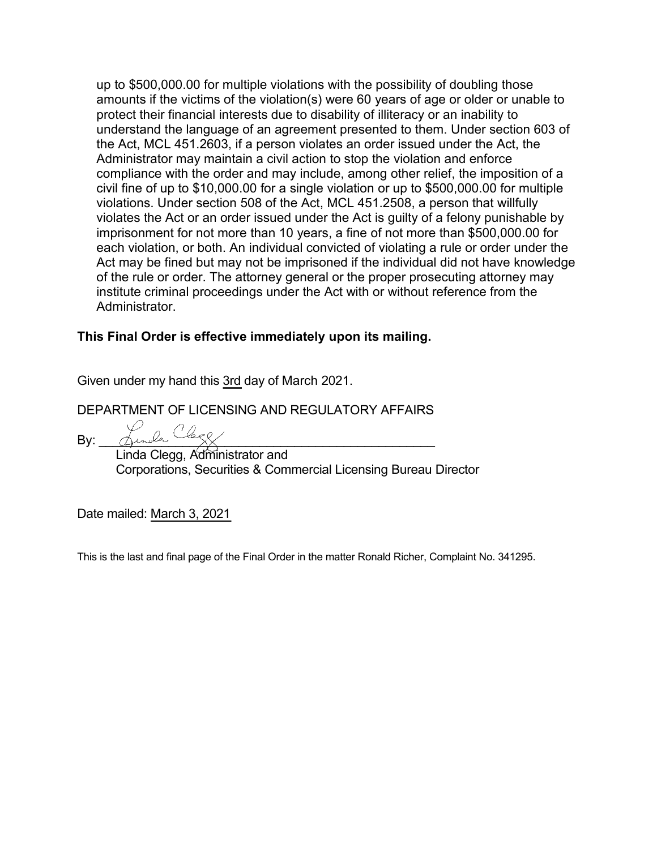up to \$500,000.00 for multiple violations with the possibility of doubling those amounts if the victims of the violation(s) were 60 years of age or older or unable to protect their financial interests due to disability of illiteracy or an inability to understand the language of an agreement presented to them. Under section 603 of the Act, MCL 451.2603, if a person violates an order issued under the Act, the Administrator may maintain a civil action to stop the violation and enforce compliance with the order and may include, among other relief, the imposition of a civil fine of up to \$10,000.00 for a single violation or up to \$500,000.00 for multiple violations. Under section 508 of the Act, MCL 451.2508, a person that willfully violates the Act or an order issued under the Act is guilty of a felony punishable by imprisonment for not more than 10 years, a fine of not more than \$500,000.00 for each violation, or both. An individual convicted of violating a rule or order under the Act may be fined but may not be imprisoned if the individual did not have knowledge of the rule or order. The attorney general or the proper prosecuting attorney may institute criminal proceedings under the Act with or without reference from the Administrator.

# **This Final Order is effective immediately upon its mailing.**

Given under my hand this 3rd day of March 2021.

DEPARTMENT OF LICENSING AND REGULATORY AFFAIRS

By: \_\_\_\_\_\_\_\_\_\_\_\_\_\_\_\_\_\_\_\_\_\_\_\_\_\_\_\_\_\_\_\_\_\_\_\_\_\_\_\_\_\_\_\_\_\_\_\_ Linda Clegg, Administrator and Corporations, Securities & Commercial Licensing Bureau Director

Date mailed: March 3, 2021

This is the last and final page of the Final Order in the matter Ronald Richer, Complaint No. 341295.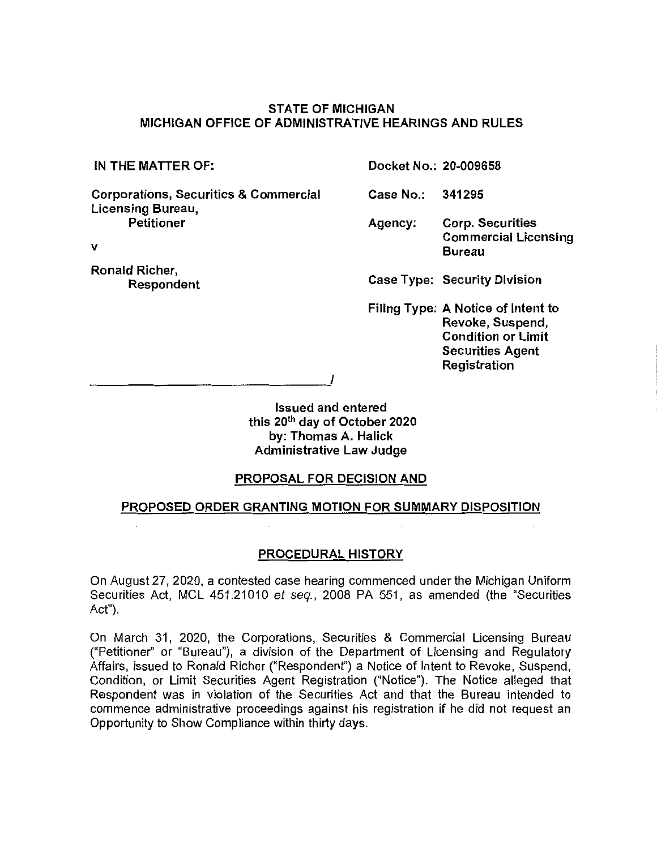### **STATE OF MICHIGAN MICHIGAN OFFICE OF ADMINISTRATIVE HEARINGS AND RULES**

**Corporations, Securities** & **Commercial Licensing Bureau, Petitioner** 

**V** 

**Ronald Richer, Respondent** 

**IN THE MATTER OF: Docket No.: 20-009658** 

**Case No.: 341295** 

**Agency: Corp. Securities Commercial Licensing Bureau** 

**Case Type: Security Division** 

**Filing Type: A Notice of Intent to Revoke, Suspend, Condition or Limit Securities Agent Registration** 

------------------''

**Issued and entered this 20th day of October 2020 by: Thomas A. Halick Administrative Law Judge** 

#### **PROPOSAL FOR DECISION AND**

#### **PROPOSED ORDER GRANTING MOTION FOR SUMMARY DISPOSITION**

#### **PROCEDURAL HISTORY**

On August 27, 2020, a contested case hearing commenced under the Michigan Uniform Securities Act, MCL 451.21010 et seq., 2008 PA 551, as amended (the "Securities Act").

On March 31, 2020, the Corporations, Securities & Commercial Licensing Bureau ("Petitioner'' or "Bureau"), a division of the Department of Licensing and Regulatory Affairs, issued to Ronald Richer ("Respondent") a Notice of Intent to Revoke, Suspend, Condition, or Limit Securities Agent Registration ("Notice"). The Notice alleged that Respondent was in violation of the Securities Act and that the Bureau intended to commence administrative proceedings against his registration if he did not request an Opportunity to Show Compliance within thirty days.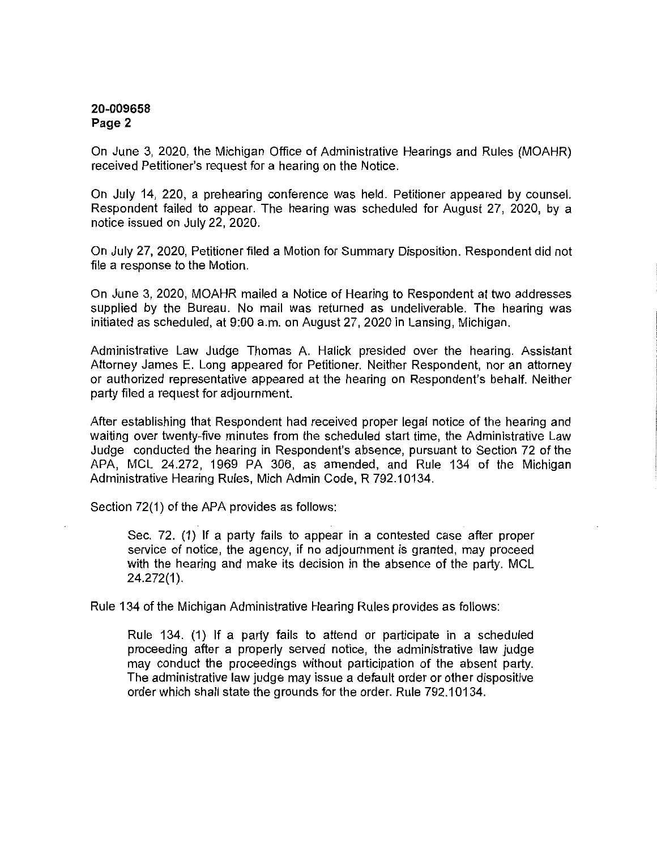On June 3, 2020, the Michigan Office of Administrative Hearings and Rules (MOAHR) received Petitioner's request for a hearing on the Notice.

On July 14, 220, a prehearing conference was held. Petitioner appeared by counsel. Respondent failed to appear. The hearing was scheduled for August 27, 2020, by a notice issued on July 22, 2020.

On July 27, 2020, Petitioner filed a Motion for Summary Disposition. Respondent did not file a response to the Motion.

On June 3, 2020, MOAHR mailed a Notice of Hearing to Respondent at two addresses supplied by the Bureau. No mail was returned as undeliverable. The hearing was initiated as scheduled, at 9:00 a.m. on August 27, 2020 in Lansing, Michigan.

Administrative Law Judge Thomas A. Halick presided over the hearing. Assistant Attorney James E. Long appeared for Petitioner. Neither Respondent, nor an attorney or authorized representative appeared at the hearing on Respondent's behalf. Neither party filed a request for adjournment.

After establishing that Respondent had received proper legal notice of the hearing and waiting over twenty-five minutes from the scheduled start time, the Administrative Law Judge conducted the hearing in Respondent's absence, pursuant to Section 72 of the APA, MCL 24.272, 1969 PA 306, as amended, and Rule 134 of the Michigan Administrative Hearing Rules, Mich Admin Code, R 792.10134.

Section 72(1) of the APA provides as follows:

Sec. 72. (1) If a party fails to appear in a contested case after proper service of notice, the agency, if no adjournment is granted, may proceed with the hearing and make its decision in the absence of the party. MCL 24.272(1).

Rule 134 of the Michigan Administrative Hearing Rules provides as follows:

Rule 134. (1) If a party fails to attend or participate in a scheduled proceeding after a properly served notice, the administrative law judge may conduct the proceedings without participation of the absent party. The administrative law judge may issue a default order or other dispositive order which shall state the grounds for the order. Rule 792.10134.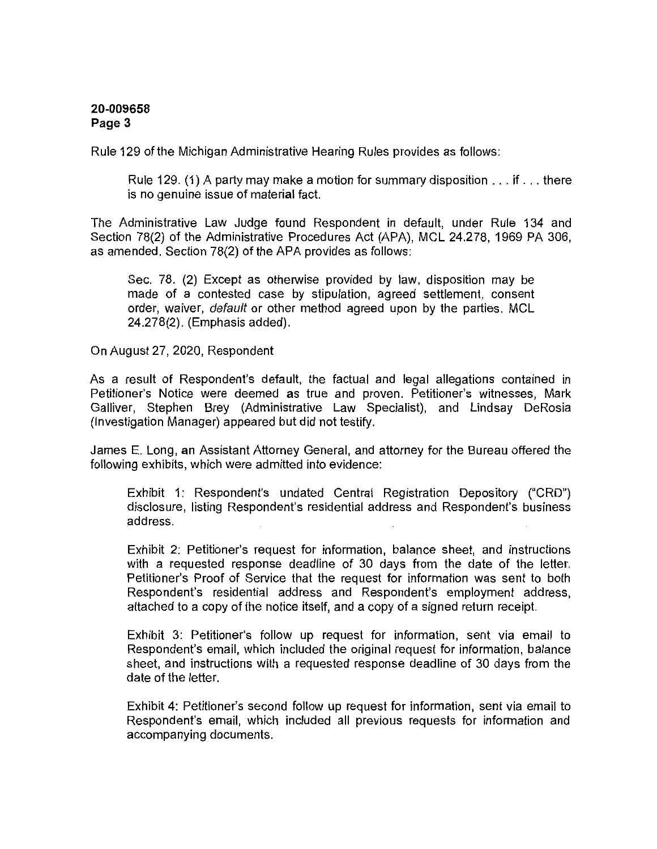Rule 129 of the Michigan Administrative Hearing Rules provides as follows:

Rule 129. (1) A party may make a motion for summary disposition  $\dots$  if  $\dots$  there is no genuine issue of material fact.

The Administrative Law Judge found Respondent in default, under Rule 134 and Section 78(2) of the Administrative Procedures Act (APA), MCL 24.278, 1969 PA 306, as amended. Section 78(2) of the APA provides as follows:

Sec. 78. (2) Except as otherwise provided by law, disposition may be made of a contested case by stipulation, agreed settlement, consent order, waiver, *default* or other method agreed upon by the parties. MCL 24.278(2). (Emphasis added).

On August 27, 2020, Respondent

As a result of Respondent's default, the factual and legal allegations contained in Petitioner's Notice were deemed as true and proven. Petitioner's witnesses, Mark Galliver, Stephen Brey (Administrative Law Specialist), and Lindsay DeRosia (Investigation Manager) appeared but did not testify.

James E. Long, an Assistant Attorney General, and attorney for the Bureau offered the following exhibits, which were admitted into evidence:

Exhibit 1: Respondent's undated Central Registration Depository ("CRD") disclosure, listing Respondent's residential address and Respondent's business address.

Exhibit 2: Petitioner's request for information, balance sheet, and instructions with a requested response deadline of 30 days from the date of the letter. Petitioner's Proof of Service that the request for information was sent to both Respondent's residential address and Respondent's employment address, attached to a copy of the notice itself, and a copy of a signed return receipt.

Exhibit 3: Petitioner's follow up request for information, sent via email to Respondent's email, which included the original request for information, balance sheet, and instructions with a requested response deadline of 30 days from the date of the letter.

Exhibit 4: Petitioner's second follow up request for information, sent via email to Respondent's email, which included all previous requests for information and accompanying documents.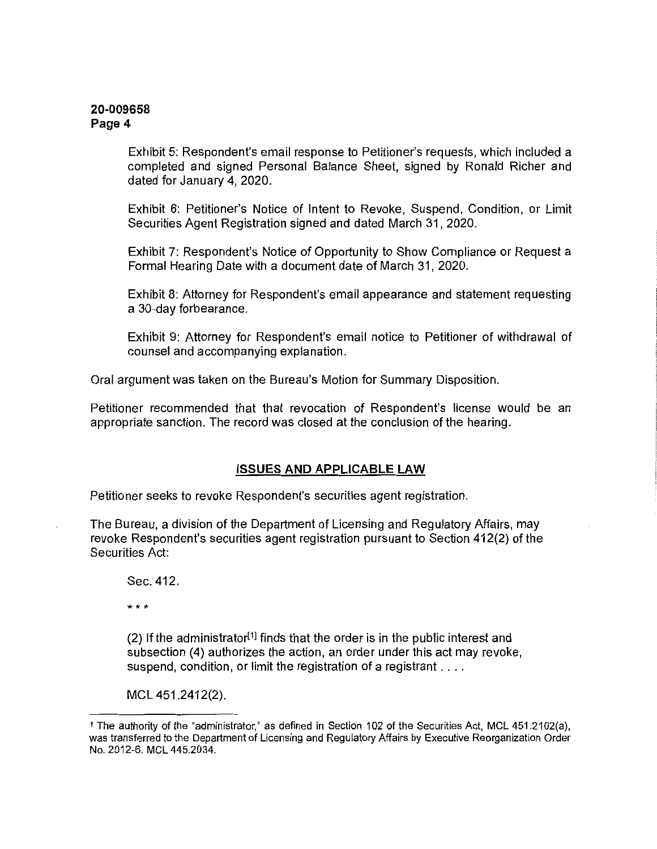Exhibit 5: Respondent's email response to Petitioner's requests, which included a completed and signed Personal Balance Sheet, signed by Ronald Richer and dated for January 4, 2020.

Exhibit 6: Petitioner's Notice of Intent to Revoke, Suspend, Condition, or Limit Securities Agent Registration signed and dated March 31, 2020.

Exhibit 7: Respondent's Notice of Opportunity to Show Compliance or Request a Formal Hearing Date with a document date of March 31, 2020.

Exhibit 8: Attorney for Respondent's email appearance and statement requesting a 30-day forbearance.

Exhibit 9: Attorney for Respondent's email notice to Petitioner of withdrawal of counsel and accompanying explanation.

Oral argument was taken on the Bureau's Motion for Summary Disposition.

Petitioner recommended that that revocation of Respondent's license would be an appropriate sanction. The record was closed at the conclusion of the hearing.

#### **ISSUES AND APPLICABLE LAW**

Petitioner seeks to revoke Respondent's securities agent registration.

The Bureau, a division of the Department of Licensing and Regulatory Affairs, may revoke Respondent's securities agent registration pursuant to Section 412(2) of the Securities Act:

Sec. 412.

\*\*\*

 $(2)$  If the administrator<sup>[1]</sup> finds that the order is in the public interest and subsection (4) authorizes the action, an order under this act may revoke, suspend, condition, or limit the registration of a registrant ....

MCL 451.2412(2).

<sup>1</sup>The authority of the "administrator," as defined in Section 102 of the Securities Act, MCL 451.2102(a), was transferred to the Department of Licensing and Regulatory Affairs by Executive Reorganization Order No. 2012-6. MCL 445.2034.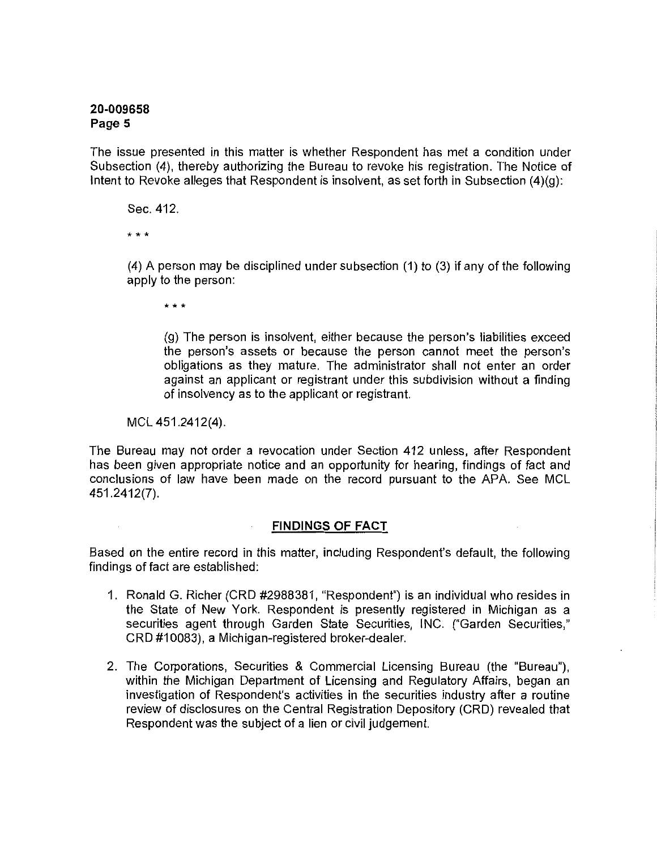The issue presented in this matter is whether Respondent has met a condition under Subsection (4), thereby authorizing the Bureau to revoke his registration. The Notice of Intent to Revoke alleges that Respondent is insolvent, as set forth in Subsection (4)(g):

Sec. 412.

\*\*\*

(4) A person may be disciplined under subsection (1) to (3) if any of the following apply to the person:

\* \* \*

(g) The person is insolvent, either because the person's liabilities exceed the person's assets or because the person cannot meet the person's obligations as they mature. The administrator shall not enter an order against an applicant or registrant under this subdivision without a finding of insolvency as to the applicant or registrant.

MCL 451.2412(4).

The Bureau may not order a revocation under Section 412 unless, after Respondent has been given appropriate notice and an opportunity for hearing, findings of fact and conclusions of law have been made on the record pursuant to the APA. See MCL 451.2412(7).

# **FINDINGS OF FACT**

Based on the entire record in this matter, including Respondent's default, the following findings of fact are established:

- 1. Ronald G. Richer (CRD #2988381, "Respondent") is an individual who resides in the State of New York. Respondent is presently registered in Michigan as a securities agent through Garden State Securities, INC. ("Garden Securities," CRD #10083), a Michigan-registered broker-dealer.
- 2. The Corporations, Securities & Commercial Licensing Bureau (the "Bureau"), within the Michigan Department of Licensing and Regulatory Affairs, began an investigation of Respondent's activities in the securities industry after a routine review of disclosures on the Central Registration Depository (CRD) revealed that Respondent was the subject of a lien or civil judgement.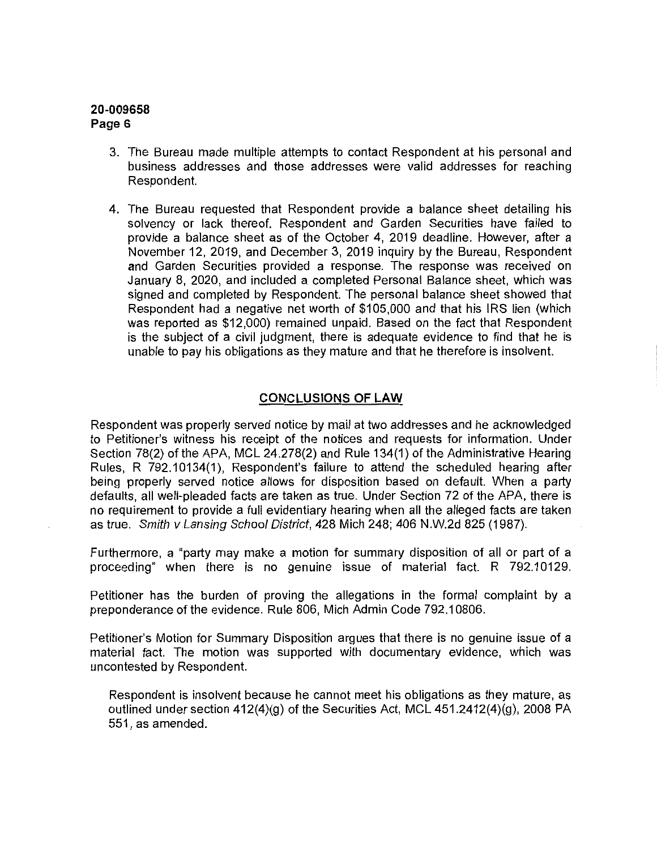- 3. The Bureau made multiple attempts to contact Respondent at his personal and business addresses and those addresses were valid addresses for reaching Respondent.
- 4. The Bureau requested that Respondent provide a balance sheet detailing his solvency or lack thereof. Respondent and Garden Securities have failed to provide a balance sheet as of the October 4, 2019 deadline. However, after a November 12, 2019, and December 3, 2019 inquiry by the Bureau, Respondent and Garden Securities provided a response. The response was received on January 8, 2020, and included a completed Personal Balance sheet, which was signed and completed by Respondent. The personal balance sheet showed that Respondent had a negative net worth of \$105,000 and that his IRS lien {which was reported as \$12,000) remained unpaid. Based on the fact that Respondent is the subject of a civil judgment, there is adequate evidence to find that he is unable to pay his obligations as they mature and that he therefore is insolvent.

### **CONCLUSIONS OF LAW**

Respondent was properly served notice by mail at two addresses and he acknowledged to Petitioner's witness his receipt of the notices and requests for information. Under Section 78(2) of the APA, MCL 24.278(2) and Rule 134(1) of the Administrative Hearing Rules, R 792,10134(1). Respondent's failure to attend the scheduled hearing after being properly served notice allows for disposition based on default. When a party defaults, all well-pleaded facts are taken as true. Under Section 72 of the APA, there is no requirement to provide a full evidentiary hearing when all the alleged facts are taken as true. Smith vLansing School District, 428 Mich 248; 406 N.W.2d 825 (1987).

Furthermore, a "party may make a motion for summary disposition of all or part of a proceeding" when there is no genuine issue of material fact. R 792.10129.

Petitioner has the burden of proving the allegations in the formal complaint by a preponderance of the evidence. Rule 806, Mich Admin Code 792.10806.

Petitioner's Motion for Summary Disposition argues that there is no genuine issue of a material fact. The motion was supported with documentary evidence, which was uncontested by Respondent.

Respondent is insolvent because he cannot meet his obligations as they mature, as outlined under section 412(4)(g) of the Securities Act, MCL 451.2412(4)(9), 2008 PA 551, as amended.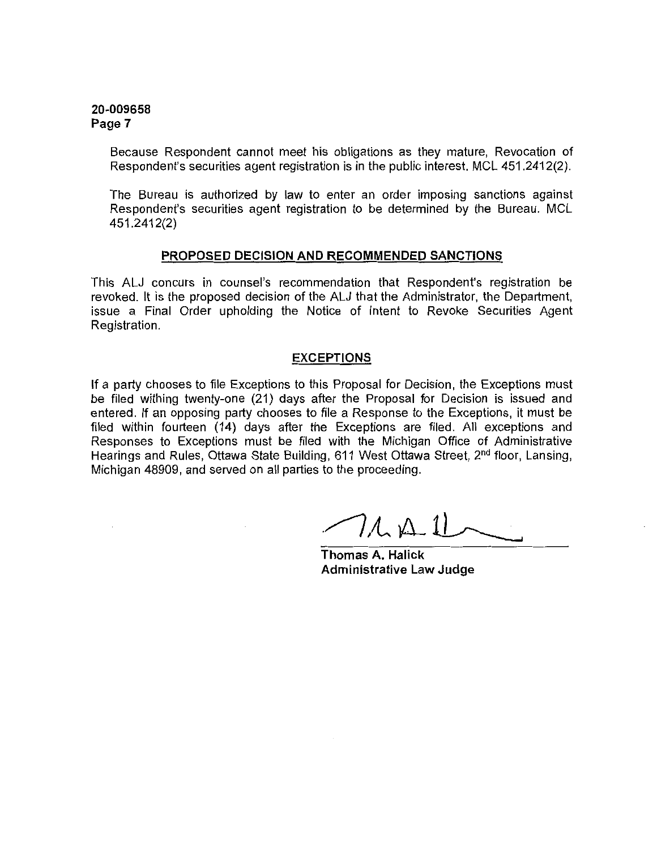Because Respondent cannot meet his obligations as they mature, Revocation of Respondent's securities agent registration is in the public interest. MCL 451.2412(2).

The Bureau is authorized by law to enter an order imposing sanctions against Respondent's securities agent registration to be determined by the Bureau. MCL 451.2412(2)

#### **PROPOSED DECISION AND RECOMMENDED SANCTIONS**

This ALJ concurs in counsel's recommendation that Respondent's registration be revoked. It is the proposed decision of the ALJ that the Administrator, the Department, issue a Final Order upholding the Notice of Intent to Revoke Securities Agent Registration.

#### **EXCEPTIONS**

If a party chooses to file Exceptions to this Proposal for Decision, the Exceptions must be filed withing twenty-one (21) days after the Proposal for Decision is issued and entered. If an opposing party chooses to file a Response to the Exceptions, it must be filed within fourteen (14) days after the Exceptions are filed. All exceptions and Responses to Exceptions must be filed with the Michigan Office of Administrative Hearings and Rules, Ottawa State Building, 611 West Ottawa Street, 2<sup>nd</sup> floor, Lansing, Michigan 48909, and served on all parties to the proceeding.

 $7.4 \pm 11$ 

**Thomas A. Halick Administrative Law Judge**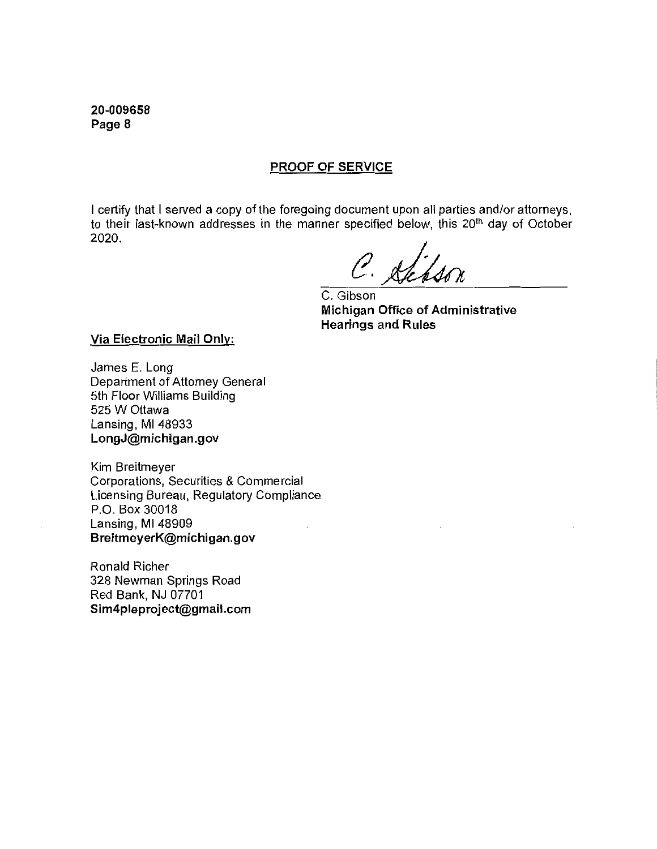### **PROOF OF SERVICE**

I certify that I served a copy of the foregoing document upon all parties and/or attorneys, to their last-known addresses in the manner specified below, this 20<sup>th</sup> day of October 2020.

C. Sheps

C. Gibson **Michigan Office of Administrative Hearings and Rules** 

**Via Electronic Mail Only:** 

James E. Long Department of Attorney General 5th Floor Williams Building 525 W Ottawa Lansing, Ml 48933 **LongJ@michigan.gov** 

Kim Breitmeyer Corporations, Securities & Commercial Licensing Bureau, Regulatory Compliance P.O. Box 30018 Lansing, Ml 48909 **BreitmeyerK@michigan.gov** 

Ronald Richer 328 Newman Springs Road Red Bank, NJ 07701 **Sim4pleproject@gmail.com**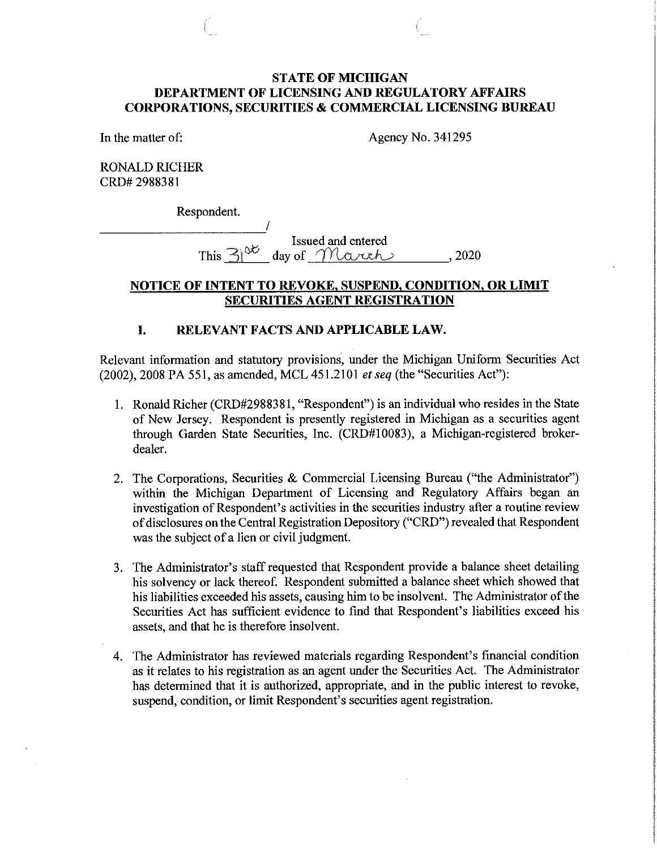# **STATE OF MICHIGAN DEPARTMENT OF LICENSING AND REGULATORY AFFAIRS CORPORATIONS, SECURITIES & COMMERCIAL LICENSING BUREAU**

In the matter of: Agency No. 341295

RONALD RICHER CRD# 2988381

Respondent.<br>————————————————/

**Example 3** Issued and entered  $\overline{\text{This 3}^{\text{at}}$  day of  $\overline{\text{The sum}}$ , 2020

# **NOTICE OF INTENT TO REVOKE, SUSPEND, CONDITION, OR LIMIT SECURITIES AGENT REGISTRATION**

# **I. RELEVANT FACTS AND APPLICABLE LAW.**

Relevant information and statutory provisions, under the Michigan Uniform Securities Act (2002), 2008 PA 551, as amended, MCL 451.2101 *et seq* (the "Securities Act"):

- 1. Ronald Richer (CRD#2988381, "Respondent") is an individual who resides in the State of New Jersey. Respondent is presently registered in Michigan as a securities agent through Garden State Securities, Inc. (CRD#l 0083), a Michigan-registered brokerdealer.
- 2. The Corporations, Securities & Commercial Licensing Bureau ("the Administrator") within the Michigan Department of Licensing and Regulatory Affairs began an investigation of Respondent's activities in the securities industry after a routine review of disclosures on the Central Registration Depository ("CRD") revealed that Respondent was the subject of a lien or civil judgment.
- 3. The Administrator's staff requested that Respondent provide a balance sheet detailing his solvency or lack thereof. Respondent submitted a balance sheet which showed that his liabilities exceeded his assets, causing him to be insolvent. The Administrator of the Securities Act has sufficient evidence to find that Respondent's liabilities exceed his assets, and that he is therefore insolvent.
- 4. The Administrator has reviewed materials regarding Respondent's financial condition as it relates to his registration as an agent under the Securities Act. The Administrator has determined that it is authorized, appropriate, and in the public interest to revoke, suspend, condition, or limit Respondent's securities agent registration.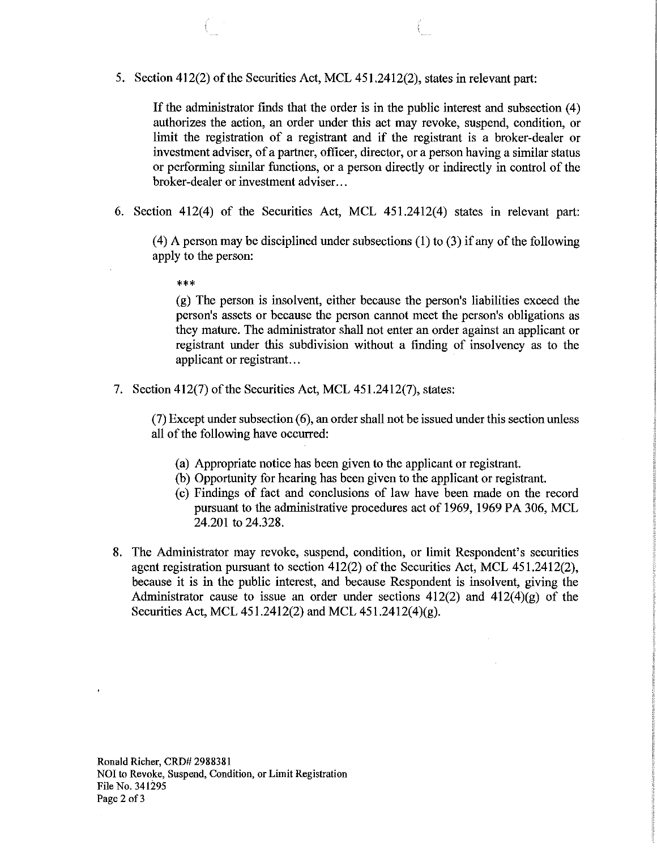5. Section 412(2) of the Securities Act, MCL 451.2412(2), states in relevant part:

If the administrator finds that the order is in the public interest and subsection (4) authorizes the action, an order under this act may revoke, suspend, condition, or limit the registration of a registrant and if the registrant is a broker-dealer or investment adviser, of a partner, officer, director, or a person having a similar status or performing similar functions, or a person directly or indirectly in control of the broker-dealer or investment adviser...

6. Section 412(4) of the Securities Act, MCL 451.2412(4) states in relevant part:

(4) A person may be disciplined under subsections (1) to (3) if any of the following apply to the person:

\*\*\*

(g) The person is insolvent, either because the person's liabilities exceed the person's assets or because the person cannot meet the person's obligations as they mature. The administrator shall not enter an order against an applicant or registrant under this subdivision without a finding of insolvency as to the applicant or registrant. ..

7. Section 412(7) of the Securities Act, MCL 451.2412(7), states:

 $(7)$  Except under subsection  $(6)$ , an order shall not be issued under this section unless all of the following have occurred:

- (a) Appropriate notice has been given to the applicant or registrant.
- (b) Opportunity for hearing has been given to the applicant or registrant.
- (c) Findings of fact and conclusions of law have been made on the record pursuant to the administrative procedures act of 1969, 1969 PA 306, MCL 24.201 to 24.328.
- 8. The Administrator may revoke, suspend, condition, or limit Respondent's securities agent registration pursuant to section 412(2) of the Securities Act, MCL 451.2412(2), because it is in the public interest, and because Respondent is insolvent, giving the Administrator cause to issue an order under sections  $412(2)$  and  $412(4)(g)$  of the Securities Act, MCL 451.2412(2) and MCL 451.2412(4)(g).